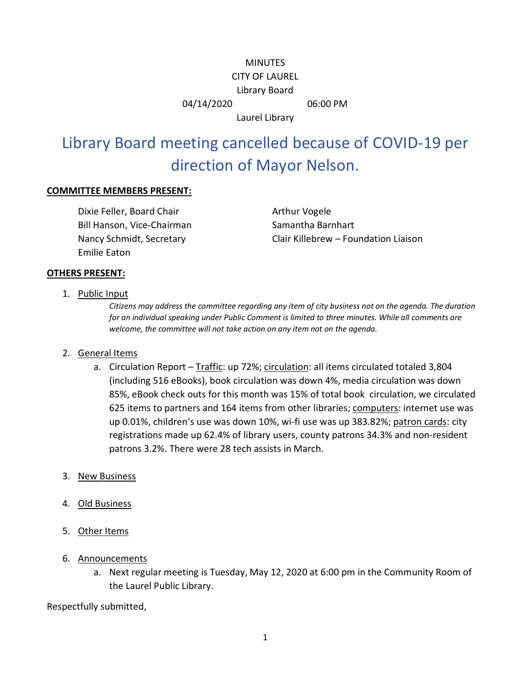## **MINUTES** CITY OF LAUREL Library Board 04/14/2020 06:00 PM

Laurel Library

## Library Board meeting cancelled because of COVID-19 per direction of Mayor Nelson.

## **COMMITTEE MEMBERS PRESENT:**

Dixie Feller, Board Chair **Arthur Vogele** Bill Hanson, Vice-Chairman Samantha Barnhart Emilie Eaton

Nancy Schmidt, Secretary Clair Killebrew – Foundation Liaison

## **OTHERS PRESENT:**

1. Public Input

*Citizens may address the committee regarding any item of city business not on the agenda. The duration for an individual speaking under Public Comment is limited to three minutes. While all comments are welcome, the committee will not take action on any item not on the agenda.*

- 2. General Items
	- a. Circulation Report Traffic: up 72%; circulation: all items circulated totaled 3,804 (including 516 eBooks), book circulation was down 4%, media circulation was down 85%, eBook check outs for this month was 15% of total book circulation, we circulated 625 items to partners and 164 items from other libraries; computers: internet use was up 0.01%, children's use was down 10%, wi-fi use was up 383.82%; patron cards: city registrations made up 62.4% of library users, county patrons 34.3% and non-resident patrons 3.2%. There were 28 tech assists in March.
- 3. New Business
- 4. Old Business
- 5. Other Items
- 6. Announcements
	- a. Next regular meeting is Tuesday, May 12, 2020 at 6:00 pm in the Community Room of the Laurel Public Library.

Respectfully submitted,